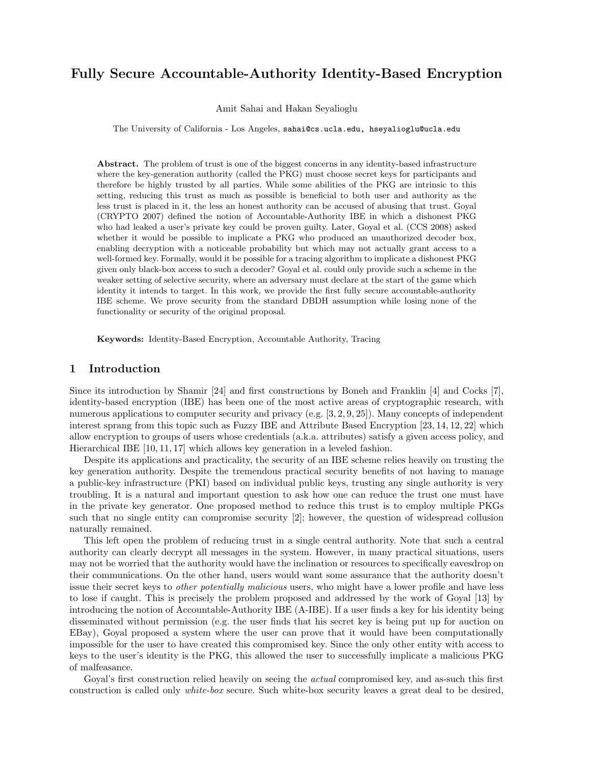# Fully Secure Accountable-Authority Identity-Based Encryption

Amit Sahai and Hakan Seyalioglu

The University of California - Los Angeles, sahai@cs.ucla.edu, hseyalioglu@ucla.edu

Abstract. The problem of trust is one of the biggest concerns in any identity-based infrastructure where the key-generation authority (called the PKG) must choose secret keys for participants and therefore be highly trusted by all parties. While some abilities of the PKG are intrinsic to this setting, reducing this trust as much as possible is beneficial to both user and authority as the less trust is placed in it, the less an honest authority can be accused of abusing that trust. Goyal (CRYPTO 2007) defined the notion of Accountable-Authority IBE in which a dishonest PKG who had leaked a user's private key could be proven guilty. Later, Goyal et al. (CCS 2008) asked whether it would be possible to implicate a PKG who produced an unauthorized decoder box, enabling decryption with a noticeable probability but which may not actually grant access to a well-formed key. Formally, would it be possible for a tracing algorithm to implicate a dishonest PKG given only black-box access to such a decoder? Goyal et al. could only provide such a scheme in the weaker setting of selective security, where an adversary must declare at the start of the game which identity it intends to target. In this work, we provide the first fully secure accountable-authority IBE scheme. We prove security from the standard DBDH assumption while losing none of the functionality or security of the original proposal.

Keywords: Identity-Based Encryption, Accountable Authority, Tracing

## 1 Introduction

Since its introduction by Shamir [24] and first constructions by Boneh and Franklin [4] and Cocks [7], identity-based encryption (IBE) has been one of the most active areas of cryptographic research, with numerous applications to computer security and privacy (e.g. [3, 2, 9, 25]). Many concepts of independent interest sprang from this topic such as Fuzzy IBE and Attribute Based Encryption [23, 14, 12, 22] which allow encryption to groups of users whose credentials (a.k.a. attributes) satisfy a given access policy, and Hierarchical IBE [10, 11, 17] which allows key generation in a leveled fashion.

Despite its applications and practicality, the security of an IBE scheme relies heavily on trusting the key generation authority. Despite the tremendous practical security benefits of not having to manage a public-key infrastructure (PKI) based on individual public keys, trusting any single authority is very troubling. It is a natural and important question to ask how one can reduce the trust one must have in the private key generator. One proposed method to reduce this trust is to employ multiple PKGs such that no single entity can compromise security [2]; however, the question of widespread collusion naturally remained.

This left open the problem of reducing trust in a single central authority. Note that such a central authority can clearly decrypt all messages in the system. However, in many practical situations, users may not be worried that the authority would have the inclination or resources to specifically eavesdrop on their communications. On the other hand, users would want some assurance that the authority doesn't issue their secret keys to *other potentially malicious* users, who might have a lower profile and have less to lose if caught. This is precisely the problem proposed and addressed by the work of Goyal [13] by introducing the notion of Accountable-Authority IBE (A-IBE). If a user finds a key for his identity being disseminated without permission (e.g. the user finds that his secret key is being put up for auction on EBay), Goyal proposed a system where the user can prove that it would have been computationally impossible for the user to have created this compromised key. Since the only other entity with access to keys to the user's identity is the PKG, this allowed the user to successfully implicate a malicious PKG of malfeasance.

Goyal's first construction relied heavily on seeing the actual compromised key, and as-such this first construction is called only white-box secure. Such white-box security leaves a great deal to be desired,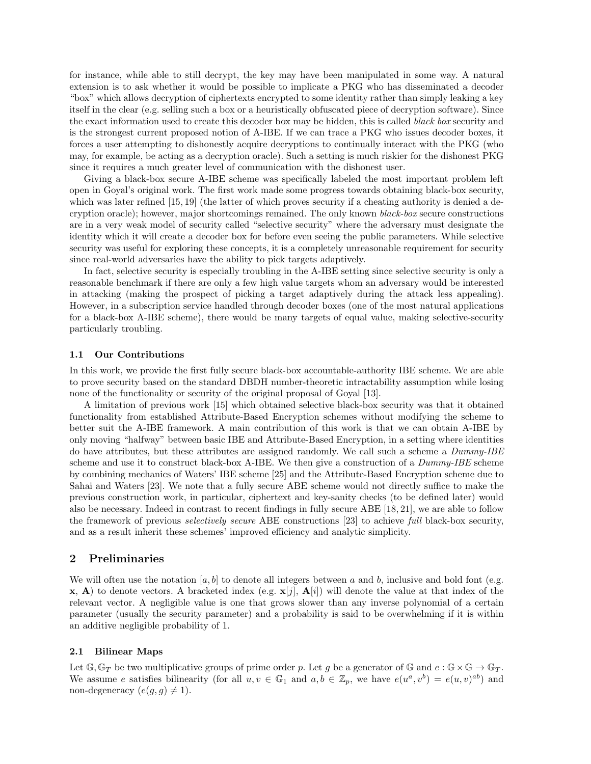for instance, while able to still decrypt, the key may have been manipulated in some way. A natural extension is to ask whether it would be possible to implicate a PKG who has disseminated a decoder "box" which allows decryption of ciphertexts encrypted to some identity rather than simply leaking a key itself in the clear (e.g. selling such a box or a heuristically obfuscated piece of decryption software). Since the exact information used to create this decoder box may be hidden, this is called black box security and is the strongest current proposed notion of A-IBE. If we can trace a PKG who issues decoder boxes, it forces a user attempting to dishonestly acquire decryptions to continually interact with the PKG (who may, for example, be acting as a decryption oracle). Such a setting is much riskier for the dishonest PKG since it requires a much greater level of communication with the dishonest user.

Giving a black-box secure A-IBE scheme was specifically labeled the most important problem left open in Goyal's original work. The first work made some progress towards obtaining black-box security, which was later refined [15, 19] (the latter of which proves security if a cheating authority is denied a decryption oracle); however, major shortcomings remained. The only known black-box secure constructions are in a very weak model of security called "selective security" where the adversary must designate the identity which it will create a decoder box for before even seeing the public parameters. While selective security was useful for exploring these concepts, it is a completely unreasonable requirement for security since real-world adversaries have the ability to pick targets adaptively.

In fact, selective security is especially troubling in the A-IBE setting since selective security is only a reasonable benchmark if there are only a few high value targets whom an adversary would be interested in attacking (making the prospect of picking a target adaptively during the attack less appealing). However, in a subscription service handled through decoder boxes (one of the most natural applications for a black-box A-IBE scheme), there would be many targets of equal value, making selective-security particularly troubling.

#### 1.1 Our Contributions

In this work, we provide the first fully secure black-box accountable-authority IBE scheme. We are able to prove security based on the standard DBDH number-theoretic intractability assumption while losing none of the functionality or security of the original proposal of Goyal [13].

A limitation of previous work [15] which obtained selective black-box security was that it obtained functionality from established Attribute-Based Encryption schemes without modifying the scheme to better suit the A-IBE framework. A main contribution of this work is that we can obtain A-IBE by only moving "halfway" between basic IBE and Attribute-Based Encryption, in a setting where identities do have attributes, but these attributes are assigned randomly. We call such a scheme a Dummy-IBE scheme and use it to construct black-box A-IBE. We then give a construction of a *Dummy-IBE* scheme by combining mechanics of Waters' IBE scheme [25] and the Attribute-Based Encryption scheme due to Sahai and Waters [23]. We note that a fully secure ABE scheme would not directly suffice to make the previous construction work, in particular, ciphertext and key-sanity checks (to be defined later) would also be necessary. Indeed in contrast to recent findings in fully secure ABE [18, 21], we are able to follow the framework of previous selectively secure ABE constructions [23] to achieve full black-box security, and as a result inherit these schemes' improved efficiency and analytic simplicity.

## 2 Preliminaries

We will often use the notation [a, b] to denote all integers between a and b, inclusive and bold font (e.g. **x**, **A**) to denote vectors. A bracketed index (e.g.  $\mathbf{x}[j]$ ,  $\mathbf{A}[i]$ ) will denote the value at that index of the relevant vector. A negligible value is one that grows slower than any inverse polynomial of a certain parameter (usually the security parameter) and a probability is said to be overwhelming if it is within an additive negligible probability of 1.

#### 2.1 Bilinear Maps

Let  $\mathbb{G}, \mathbb{G}_T$  be two multiplicative groups of prime order p. Let g be a generator of  $\mathbb{G}$  and  $e : \mathbb{G} \times \mathbb{G} \to \mathbb{G}_T$ . We assume e satisfies bilinearity (for all  $u, v \in \mathbb{G}_1$  and  $a, b \in \mathbb{Z}_p$ , we have  $e(u^a, v^b) = e(u, v)^{ab}$ ) and non-degeneracy  $(e(g, g) \neq 1)$ .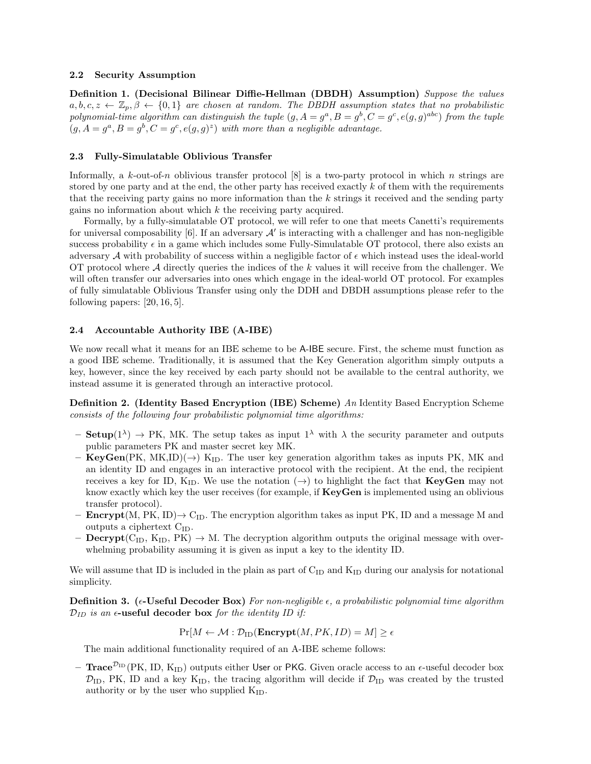#### 2.2 Security Assumption

Definition 1. (Decisional Bilinear Diffie-Hellman (DBDH) Assumption) Suppose the values  $a, b, c, z \leftarrow \mathbb{Z}_p, \beta \leftarrow \{0, 1\}$  are chosen at random. The DBDH assumption states that no probabilistic polynomial-time algorithm can distinguish the tuple  $(g, A = g^a, B = g^b, C = g^c, e(g, g)^{abc})$  from the tuple  $(g, A = g^a, B = g^b, C = g^c, e(g, g)^z)$  with more than a negligible advantage.

#### 2.3 Fully-Simulatable Oblivious Transfer

Informally, a k-out-of-n oblivious transfer protocol  $[8]$  is a two-party protocol in which n strings are stored by one party and at the end, the other party has received exactly  $k$  of them with the requirements that the receiving party gains no more information than the  $k$  strings it received and the sending party gains no information about which k the receiving party acquired.

Formally, by a fully-simulatable OT protocol, we will refer to one that meets Canetti's requirements for universal composability  $[6]$ . If an adversary  $\mathcal{A}'$  is interacting with a challenger and has non-negligible success probability  $\epsilon$  in a game which includes some Fully-Simulatable OT protocol, there also exists an adversary A with probability of success within a negligible factor of  $\epsilon$  which instead uses the ideal-world OT protocol where  $A$  directly queries the indices of the k values it will receive from the challenger. We will often transfer our adversaries into ones which engage in the ideal-world OT protocol. For examples of fully simulatable Oblivious Transfer using only the DDH and DBDH assumptions please refer to the following papers: [20, 16, 5].

#### 2.4 Accountable Authority IBE (A-IBE)

We now recall what it means for an IBE scheme to be  $A$ -IBE secure. First, the scheme must function as a good IBE scheme. Traditionally, it is assumed that the Key Generation algorithm simply outputs a key, however, since the key received by each party should not be available to the central authority, we instead assume it is generated through an interactive protocol.

Definition 2. (Identity Based Encryption (IBE) Scheme) An Identity Based Encryption Scheme consists of the following four probabilistic polynomial time algorithms:

- $-$  Setup(1<sup> $\lambda$ </sup>)  $\rightarrow$  PK, MK. The setup takes as input 1<sup> $\lambda$ </sup> with  $\lambda$  the security parameter and outputs public parameters PK and master secret key MK.
- KeyGen(PK, MK,ID)( $\rightarrow$ ) K<sub>ID</sub>. The user key generation algorithm takes as inputs PK, MK and an identity ID and engages in an interactive protocol with the recipient. At the end, the recipient receives a key for ID,  $K_{ID}$ . We use the notation  $(\rightarrow)$  to highlight the fact that **KeyGen** may not know exactly which key the user receives (for example, if KeyGen is implemented using an oblivious transfer protocol).
- **Encrypt**(M, PK, ID) $\rightarrow$  C<sub>ID</sub>. The encryption algorithm takes as input PK, ID and a message M and outputs a ciphertext  $C_{ID}$ .
- **Decrypt**( $C_{ID}$ ,  $K_{ID}$ ,  $PK$ )  $\rightarrow$  M. The decryption algorithm outputs the original message with overwhelming probability assuming it is given as input a key to the identity ID.

We will assume that ID is included in the plain as part of  $C_{ID}$  and  $K_{ID}$  during our analysis for notational simplicity.

**Definition 3.** ( $\epsilon$ -Useful Decoder Box) For non-negligible  $\epsilon$ , a probabilistic polynomial time algorithm  $\mathcal{D}_{ID}$  is an  $\epsilon$ -useful decoder box for the identity ID if:

$$
\Pr[M \leftarrow \mathcal{M} : \mathcal{D}_{\text{ID}}(\text{Encrypt}(M, PK, ID) = M] \ge \epsilon
$$

The main additional functionality required of an A-IBE scheme follows:

– Trace<sup> $\mathcal{D}_{ID}$ </sup> (PK, ID, K<sub>ID</sub>) outputs either User or PKG. Given oracle access to an  $\epsilon$ -useful decoder box  $\mathcal{D}_{\text{ID}}$ , PK, ID and a key K<sub>ID</sub>, the tracing algorithm will decide if  $\mathcal{D}_{\text{ID}}$  was created by the trusted authority or by the user who supplied  $K_{ID}$ .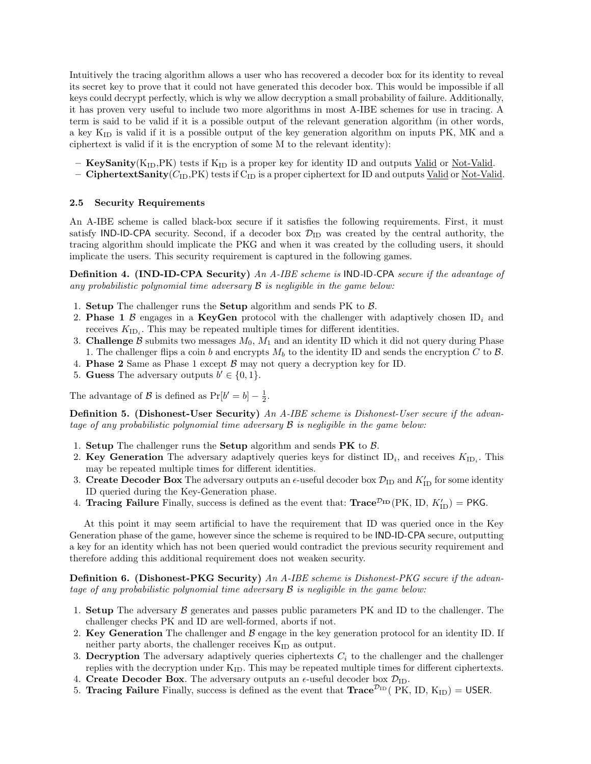Intuitively the tracing algorithm allows a user who has recovered a decoder box for its identity to reveal its secret key to prove that it could not have generated this decoder box. This would be impossible if all keys could decrypt perfectly, which is why we allow decryption a small probability of failure. Additionally, it has proven very useful to include two more algorithms in most A-IBE schemes for use in tracing. A term is said to be valid if it is a possible output of the relevant generation algorithm (in other words, a key K<sub>ID</sub> is valid if it is a possible output of the key generation algorithm on inputs PK, MK and a ciphertext is valid if it is the encryption of some M to the relevant identity):

- KeySanity( $K_{ID}$ , PK) tests if  $K_{ID}$  is a proper key for identity ID and outputs Valid or Not-Valid.
- CiphertextSanity( $C_{\text{ID}}$ , PK) tests if  $C_{\text{ID}}$  is a proper ciphertext for ID and outputs Valid or Not-Valid.

#### 2.5 Security Requirements

An A-IBE scheme is called black-box secure if it satisfies the following requirements. First, it must satisfy IND-ID-CPA security. Second, if a decoder box  $\mathcal{D}_{ID}$  was created by the central authority, the tracing algorithm should implicate the PKG and when it was created by the colluding users, it should implicate the users. This security requirement is captured in the following games.

Definition 4. (IND-ID-CPA Security) An A-IBE scheme is IND-ID-CPA secure if the advantage of any probabilistic polynomial time adversary  $\mathcal B$  is negligible in the game below:

- 1. Setup The challenger runs the Setup algorithm and sends PK to B.
- 2. **Phase 1 B** engages in a **KeyGen** protocol with the challenger with adaptively chosen ID<sub>i</sub> and receives  $K_{\text{ID}_i}$ . This may be repeated multiple times for different identities.
- 3. Challenge B submits two messages  $M_0$ ,  $M_1$  and an identity ID which it did not query during Phase 1. The challenger flips a coin b and encrypts  $M_b$  to the identity ID and sends the encryption C to B.
- 4. Phase 2 Same as Phase 1 except B may not query a decryption key for ID.
- 5. Guess The adversary outputs  $b' \in \{0, 1\}.$

The advantage of  $\mathcal{B}$  is defined as  $Pr[b' = b] - \frac{1}{2}$ .

Definition 5. (Dishonest-User Security) An A-IBE scheme is Dishonest-User secure if the advantage of any probabilistic polynomial time adversary  $\beta$  is negligible in the game below:

- 1. Setup The challenger runs the Setup algorithm and sends PK to B.
- 2. Key Generation The adversary adaptively queries keys for distinct  $ID_i$ , and receives  $K_{ID_i}$ . This may be repeated multiple times for different identities.
- 3. Create Decoder Box The adversary outputs an  $\epsilon$ -useful decoder box  $\mathcal{D}_{\text{ID}}$  and  $K'_{\text{ID}}$  for some identity ID queried during the Key-Generation phase.
- 4. **Tracing Failure** Finally, success is defined as the event that:  $Trace^{\mathcal{D}_{ID}}(PK, ID, K'_{ID}) = PKG$ .

At this point it may seem artificial to have the requirement that ID was queried once in the Key Generation phase of the game, however since the scheme is required to be IND-ID-CPA secure, outputting a key for an identity which has not been queried would contradict the previous security requirement and therefore adding this additional requirement does not weaken security.

Definition 6. (Dishonest-PKG Security) An A-IBE scheme is Dishonest-PKG secure if the advantage of any probabilistic polynomial time adversary  $\mathcal B$  is negligible in the game below:

- 1. Setup The adversary B generates and passes public parameters PK and ID to the challenger. The challenger checks PK and ID are well-formed, aborts if not.
- 2. Key Generation The challenger and  $\beta$  engage in the key generation protocol for an identity ID. If neither party aborts, the challenger receives  $K_{ID}$  as output.
- 3. Decryption The adversary adaptively queries ciphertexts  $C_i$  to the challenger and the challenger replies with the decryption under  $K_{ID}$ . This may be repeated multiple times for different ciphertexts.
- 4. Create Decoder Box. The adversary outputs an  $\epsilon$ -useful decoder box  $\mathcal{D}_{\text{ID}}$ .
- 5. Tracing Failure Finally, success is defined as the event that  $Trace^{\mathcal{D}_{ID}}(PK, ID, K_{ID}) = \text{USER}.$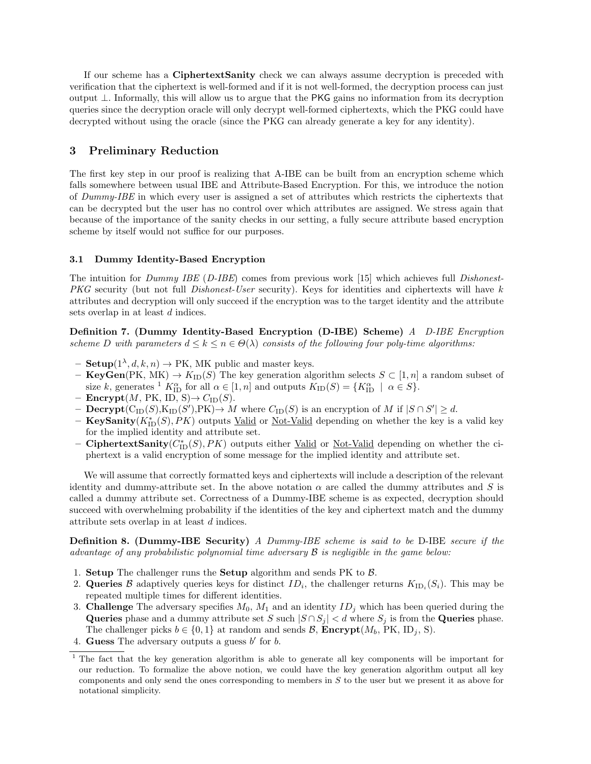If our scheme has a CiphertextSanity check we can always assume decryption is preceded with verification that the ciphertext is well-formed and if it is not well-formed, the decryption process can just output ⊥. Informally, this will allow us to argue that the PKG gains no information from its decryption queries since the decryption oracle will only decrypt well-formed ciphertexts, which the PKG could have decrypted without using the oracle (since the PKG can already generate a key for any identity).

## 3 Preliminary Reduction

The first key step in our proof is realizing that A-IBE can be built from an encryption scheme which falls somewhere between usual IBE and Attribute-Based Encryption. For this, we introduce the notion of Dummy-IBE in which every user is assigned a set of attributes which restricts the ciphertexts that can be decrypted but the user has no control over which attributes are assigned. We stress again that because of the importance of the sanity checks in our setting, a fully secure attribute based encryption scheme by itself would not suffice for our purposes.

## 3.1 Dummy Identity-Based Encryption

The intuition for *Dummy IBE* (*D-IBE*) comes from previous work [15] which achieves full *Dishonest-*PKG security (but not full *Dishonest-User* security). Keys for identities and ciphertexts will have k attributes and decryption will only succeed if the encryption was to the target identity and the attribute sets overlap in at least d indices.

Definition 7. (Dummy Identity-Based Encryption (D-IBE) Scheme) A D-IBE Encryption scheme D with parameters  $d \leq k \leq n \in \Theta(\lambda)$  consists of the following four poly-time algorithms:

- $-$  **Setup** $(1^{\lambda}, d, k, n) \rightarrow PK$ , MK public and master keys.
- **KeyGen**(PK, MK)  $\rightarrow$  K<sub>ID</sub>(S) The key generation algorithm selects  $S \subset [1, n]$  a random subset of size k, generates <sup>1</sup>  $K_{\text{ID}}^{\alpha}$  for all  $\alpha \in [1, n]$  and outputs  $K_{\text{ID}}(S) = \{K_{\text{ID}}^{\alpha} \mid \alpha \in S\}.$
- **Encrypt** $(M, PK, ID, S) \rightarrow C_{ID}(S)$ .
- $-$  Decrypt( $C_{\text{ID}}(S)$ ,  $K_{\text{ID}}(S')$ ,  $PK$ )  $\rightarrow M$  where  $C_{\text{ID}}(S)$  is an encryption of M if  $|S \cap S'| \geq d$ .
- KeySanity $(K_{\text{ID}}^*(S), PK)$  outputs Valid or Not-Valid depending on whether the key is a valid key for the implied identity and attribute set.
- CiphertextSanity $(C_{\text{ID}}^*(S), PK)$  outputs either Valid or Not-Valid depending on whether the ciphertext is a valid encryption of some message for the implied identity and attribute set.

We will assume that correctly formatted keys and ciphertexts will include a description of the relevant identity and dummy-attribute set. In the above notation  $\alpha$  are called the dummy attributes and S is called a dummy attribute set. Correctness of a Dummy-IBE scheme is as expected, decryption should succeed with overwhelming probability if the identities of the key and ciphertext match and the dummy attribute sets overlap in at least d indices.

**Definition 8. (Dummy-IBE Security)** A Dummy-IBE scheme is said to be D-IBE secure if the advantage of any probabilistic polynomial time adversary  $\mathcal B$  is negligible in the game below:

- 1. Setup The challenger runs the Setup algorithm and sends PK to B.
- 2. Queries B adaptively queries keys for distinct  $ID_i$ , the challenger returns  $K_{ID_i}(S_i)$ . This may be repeated multiple times for different identities.
- 3. Challenge The adversary specifies  $M_0$ ,  $M_1$  and an identity  $ID_j$  which has been queried during the Queries phase and a dummy attribute set S such  $|S \cap S_j|$  < d where  $S_j$  is from the Queries phase. The challenger picks  $b \in \{0, 1\}$  at random and sends  $\mathcal{B}$ , **Encrypt** $(M_b, PK, ID_j, S)$ .
- 4. Guess The adversary outputs a guess  $b'$  for  $b$ .

<sup>&</sup>lt;sup>1</sup> The fact that the key generation algorithm is able to generate all key components will be important for our reduction. To formalize the above notion, we could have the key generation algorithm output all key components and only send the ones corresponding to members in  $S$  to the user but we present it as above for notational simplicity.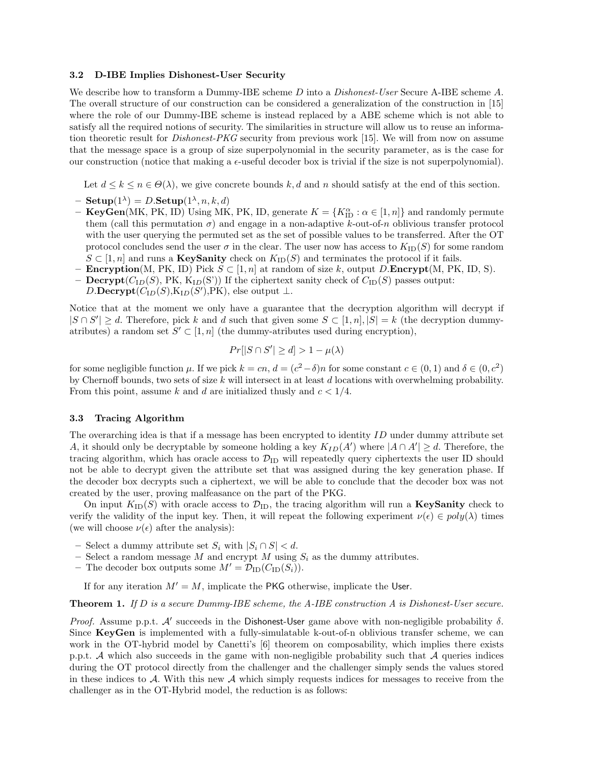#### 3.2 D-IBE Implies Dishonest-User Security

We describe how to transform a Dummy-IBE scheme D into a Dishonest-User Secure A-IBE scheme A. The overall structure of our construction can be considered a generalization of the construction in [15] where the role of our Dummy-IBE scheme is instead replaced by a ABE scheme which is not able to satisfy all the required notions of security. The similarities in structure will allow us to reuse an information theoretic result for *Dishonest-PKG* security from previous work [15]. We will from now on assume that the message space is a group of size superpolynomial in the security parameter, as is the case for our construction (notice that making a  $\epsilon$ -useful decoder box is trivial if the size is not superpolynomial).

Let  $d \leq k \leq n \in \Theta(\lambda)$ , we give concrete bounds k, d and n should satisfy at the end of this section.

- $-$  Setup $(1^{\lambda}) = D$ . Setup $(1^{\lambda}, n, k, d)$
- $-$  KeyGen(MK, PK, ID) Using MK, PK, ID, generate  $K = \{K_{ID}^{\alpha} : \alpha \in [1, n]\}$  and randomly permute them (call this permutation  $\sigma$ ) and engage in a non-adaptive k-out-of-n oblivious transfer protocol with the user querying the permuted set as the set of possible values to be transferred. After the OT protocol concludes send the user  $\sigma$  in the clear. The user now has access to  $K_{\text{ID}}(S)$  for some random  $S \subset [1, n]$  and runs a **KeySanity** check on  $K<sub>ID</sub>(S)$  and terminates the protocol if it fails.
- **Encryption**(M, PK, ID) Pick  $S \subset [1, n]$  at random of size k, output D. **Encrypt**(M, PK, ID, S).
- **Decrypt**( $C_{ID}(S)$ , PK,  $K_{ID}(S')$ ) If the ciphertext sanity check of  $C_{ID}(S)$  passes output:
- $D.\mathbf{Decrypt}(C_{\text{ID}}(S), \text{K}_{\text{ID}}(S'), \text{PK})$ , else output ⊥.

Notice that at the moment we only have a guarantee that the decryption algorithm will decrypt if  $|S \cap S'| \ge d$ . Therefore, pick k and d such that given some  $S \subset [1,n], |S| = k$  (the decryption dummyatributes) a random set  $S' \subset [1, n]$  (the dummy-atributes used during encryption),

$$
Pr[|S \cap S'| \ge d] > 1 - \mu(\lambda)
$$

for some negligible function  $\mu$ . If we pick  $k = cn$ ,  $d = (c^2 - \delta)n$  for some constant  $c \in (0, 1)$  and  $\delta \in (0, c^2)$ by Chernoff bounds, two sets of size  $k$  will intersect in at least  $d$  locations with overwhelming probability. From this point, assume k and d are initialized thusly and  $c < 1/4$ .

#### 3.3 Tracing Algorithm

The overarching idea is that if a message has been encrypted to identity ID under dummy attribute set A, it should only be decryptable by someone holding a key  $K_{ID}(A')$  where  $|A \cap A'| \ge d$ . Therefore, the tracing algorithm, which has oracle access to  $\mathcal{D}_{ID}$  will repeatedly query ciphertexts the user ID should not be able to decrypt given the attribute set that was assigned during the key generation phase. If the decoder box decrypts such a ciphertext, we will be able to conclude that the decoder box was not created by the user, proving malfeasance on the part of the PKG.

On input  $K<sub>ID</sub>(S)$  with oracle access to  $\mathcal{D}_{ID}$ , the tracing algorithm will run a **KeySanity** check to verify the validity of the input key. Then, it will repeat the following experiment  $\nu(\epsilon) \in poly(\lambda)$  times (we will choose  $\nu(\epsilon)$  after the analysis):

- Select a dummy attribute set  $S_i$  with  $|S_i \cap S|$  < d.
- Select a random message M and encrypt M using  $S_i$  as the dummy attributes.
- The decoder box outputs some  $M' = \mathcal{D}_{ID}(C_{ID}(S_i)).$

If for any iteration  $M' = M$ , implicate the PKG otherwise, implicate the User.

Theorem 1. If D is a secure Dummy-IBE scheme, the A-IBE construction A is Dishonest-User secure.

Proof. Assume p.p.t.  $A'$  succeeds in the Dishonest-User game above with non-negligible probability  $\delta$ . Since KeyGen is implemented with a fully-simulatable k-out-of-n oblivious transfer scheme, we can work in the OT-hybrid model by Canetti's [6] theorem on composability, which implies there exists p.p.t.  $A$  which also succeeds in the game with non-negligible probability such that  $A$  queries indices during the OT protocol directly from the challenger and the challenger simply sends the values stored in these indices to  $A$ . With this new  $A$  which simply requests indices for messages to receive from the challenger as in the OT-Hybrid model, the reduction is as follows: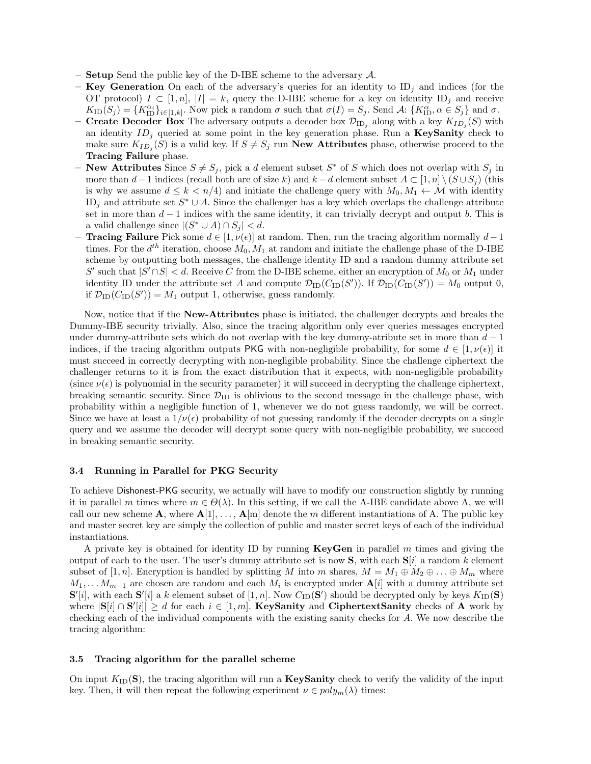- **Setup** Send the public key of the D-IBE scheme to the adversary  $\mathcal{A}$ .
- Key Generation On each of the adversary's queries for an identity to  $ID_j$  and indices (for the OT protocol)  $I \subset [1, n], |I| = k$ , query the D-IBE scheme for a key on identity ID<sub>j</sub> and receive  $K_{\text{ID}}(S_j) = \{K_{\text{ID}}^{\alpha_i}\}_{i \in [1,k]}.$  Now pick a random  $\sigma$  such that  $\sigma(I) = S_j$ . Send  $\mathcal{A}$ :  $\{K_{\text{ID}}^{\alpha}, \alpha \in S_j\}$  and  $\sigma$ .
- Create Decoder Box The adversary outputs a decoder box  $\mathcal{D}_{ID_j}$  along with a key  $K_{ID_j}(S)$  with an identity  $ID_j$  queried at some point in the key generation phase. Run a **KeySanity** check to make sure  $K_{ID_j}(S)$  is a valid key. If  $S \neq S_j$  run New Attributes phase, otherwise proceed to the Tracing Failure phase.
- New Attributes Since  $S \neq S_j$ , pick a d element subset  $S^*$  of S which does not overlap with  $S_j$  in more than  $d-1$  indices (recall both are of size k) and  $k-d$  element subset  $A \subset [1,n] \setminus (S \cup S_j)$  (this is why we assume  $d \leq k < n/4$  and initiate the challenge query with  $M_0, M_1 \leftarrow M$  with identity ID<sub>j</sub> and attribute set  $S^* \cup A$ . Since the challenger has a key which overlaps the challenge attribute set in more than  $d-1$  indices with the same identity, it can trivially decrypt and output b. This is a valid challenge since  $|(S^* \cup A) \cap S_j| < d$ .
- **Tracing Failure** Pick some  $d \in [1, \nu(\epsilon)]$  at random. Then, run the tracing algorithm normally  $d-1$ times. For the  $d^{th}$  iteration, choose  $M_0, M_1$  at random and initiate the challenge phase of the D-IBE scheme by outputting both messages, the challenge identity ID and a random dummy attribute set S' such that  $|S' \cap S| < d$ . Receive C from the D-IBE scheme, either an encryption of  $M_0$  or  $M_1$  under identity ID under the attribute set A and compute  $\mathcal{D}_{ID}(C_{ID}(S'))$ . If  $\mathcal{D}_{ID}(C_{ID}(S')) = M_0$  output 0, if  $\mathcal{D}_{\text{ID}}(C_{\text{ID}}(S')) = M_1$  output 1, otherwise, guess randomly.

Now, notice that if the **New-Attributes** phase is initiated, the challenger decrypts and breaks the Dummy-IBE security trivially. Also, since the tracing algorithm only ever queries messages encrypted under dummy-attribute sets which do not overlap with the key dummy-atribute set in more than  $d-1$ indices, if the tracing algorithm outputs PKG with non-negligible probability, for some  $d \in [1, \nu(\epsilon)]$  it must succeed in correctly decrypting with non-negligible probability. Since the challenge ciphertext the challenger returns to it is from the exact distribution that it expects, with non-negligible probability (since  $\nu(\epsilon)$  is polynomial in the security parameter) it will succeed in decrypting the challenge ciphertext, breaking semantic security. Since  $\mathcal{D}_{\text{ID}}$  is oblivious to the second message in the challenge phase, with probability within a negligible function of 1, whenever we do not guess randomly, we will be correct. Since we have at least a  $1/\nu(\epsilon)$  probability of not guessing randomly if the decoder decrypts on a single query and we assume the decoder will decrypt some query with non-negligible probability, we succeed in breaking semantic security.

#### 3.4 Running in Parallel for PKG Security

To achieve Dishonest-PKG security, we actually will have to modify our construction slightly by running it in parallel m times where  $m \in \Theta(\lambda)$ . In this setting, if we call the A-IBE candidate above A, we will call our new scheme  $\mathbf{A}$ , where  $\mathbf{A}[1], \ldots, \mathbf{A}[m]$  denote the m different instantiations of A. The public key and master secret key are simply the collection of public and master secret keys of each of the individual instantiations.

A private key is obtained for identity ID by running **KeyGen** in parallel  $m$  times and giving the output of each to the user. The user's dummy attribute set is now  $S$ , with each  $S[i]$  a random k element subset of [1, n]. Encryption is handled by splitting M into m shares,  $M = M_1 \oplus M_2 \oplus \ldots \oplus M_m$  where  $M_1, \ldots M_{m-1}$  are chosen are random and each  $M_i$  is encrypted under  $A[i]$  with a dummy attribute set  $S'[i]$ , with each  $S'[i]$  a k element subset of  $[1, n]$ . Now  $C_{\text{ID}}(S')$  should be decrypted only by keys  $K_{\text{ID}}(S)$ where  $|\mathbf{S}[i] \cap \mathbf{S'}[i]|$  ≥ d for each  $i \in [1,m]$ . KeySanity and CiphertextSanity checks of A work by checking each of the individual components with the existing sanity checks for A. We now describe the tracing algorithm:

#### 3.5 Tracing algorithm for the parallel scheme

On input  $K<sub>ID</sub>(S)$ , the tracing algorithm will run a **KeySanity** check to verify the validity of the input key. Then, it will then repeat the following experiment  $\nu \in poly_m(\lambda)$  times: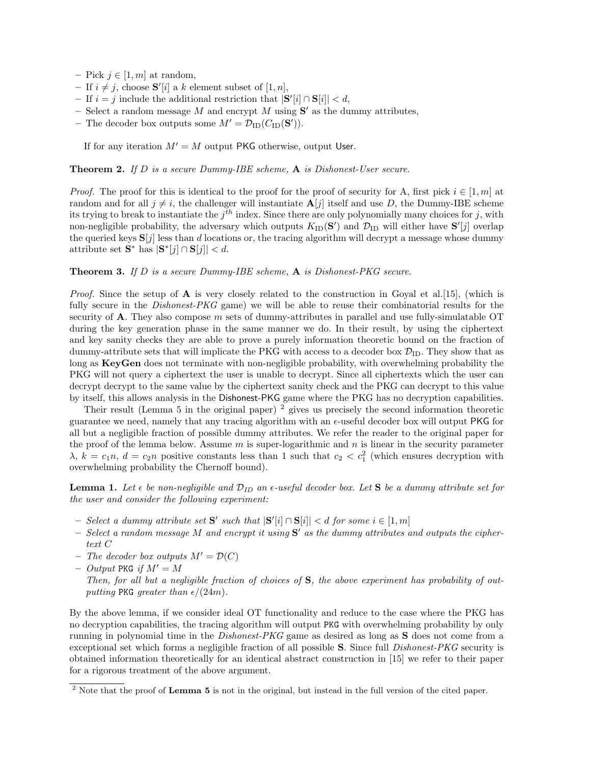- Pick  $j \in [1, m]$  at random,
- If  $i \neq j$ , choose  $S'[i]$  a k element subset of  $[1, n]$ ,
- If  $i = j$  include the additional restriction that  $|\mathbf{S}'[i] \cap \mathbf{S}[i]| < d$ ,
- Select a random message  $M$  and encrypt  $M$  using  $S'$  as the dummy attributes,
- The decoder box outputs some  $M' = \mathcal{D}_{ID}(C_{ID}(\mathbf{S}')).$

If for any iteration  $M' = M$  output PKG otherwise, output User.

**Theorem 2.** If D is a secure Dummy-IBE scheme,  $A$  is Dishonest-User secure.

*Proof.* The proof for this is identical to the proof for the proof of security for A, first pick  $i \in [1, m]$  at random and for all  $j \neq i$ , the challenger will instantiate  $\mathbf{A}[j]$  itself and use D, the Dummy-IBE scheme its trying to break to instantiate the  $j^{th}$  index. Since there are only polynomially many choices for j, with non-negligible probability, the adversary which outputs  $K_{\text{ID}}(S')$  and  $\mathcal{D}_{\text{ID}}$  will either have  $S'[j]$  overlap the queried keys  $S[j]$  less than d locations or, the tracing algorithm will decrypt a message whose dummy attribute set  $S^*$  has  $|S^*[j] \cap S[j]| < d$ .

#### Theorem 3. If D is a secure Dummy-IBE scheme, A is Dishonest-PKG secure.

*Proof.* Since the setup of  $\bf{A}$  is very closely related to the construction in Goyal et al. [15], (which is fully secure in the *Dishonest-PKG* game) we will be able to reuse their combinatorial results for the security of **A**. They also compose m sets of dummy-attributes in parallel and use fully-simulatable OT during the key generation phase in the same manner we do. In their result, by using the ciphertext and key sanity checks they are able to prove a purely information theoretic bound on the fraction of dummy-attribute sets that will implicate the PKG with access to a decoder box  $\mathcal{D}_{ID}$ . They show that as long as **KeyGen** does not terminate with non-negligible probability, with overwhelming probability the PKG will not query a ciphertext the user is unable to decrypt. Since all ciphertexts which the user can decrypt decrypt to the same value by the ciphertext sanity check and the PKG can decrypt to this value by itself, this allows analysis in the Dishonest-PKG game where the PKG has no decryption capabilities.

Their result (Lemma 5 in the original paper) <sup>2</sup> gives us precisely the second information theoretic guarantee we need, namely that any tracing algorithm with an  $\epsilon$ -useful decoder box will output PKG for all but a negligible fraction of possible dummy attributes. We refer the reader to the original paper for the proof of the lemma below. Assume  $m$  is super-logarithmic and  $n$  is linear in the security parameter  $\lambda, k = c_1 n, d = c_2 n$  positive constants less than 1 such that  $c_2 < c_1^2$  (which ensures decryption with overwhelming probability the Chernoff bound).

**Lemma 1.** Let  $\epsilon$  be non-negligible and  $\mathcal{D}_{ID}$  an  $\epsilon$ -useful decoder box. Let **S** be a dummy attribute set for the user and consider the following experiment:

- Select a dummy attribute set S' such that  $|S'[i] \cap S[i]| < d$  for some  $i \in [1, m]$
- $-$  Select a random message M and encrypt it using  $S'$  as the dummy attributes and outputs the ciphertext C
- The decoder box outputs  $M' = \mathcal{D}(C)$
- Output PKG if  $M' = M$

Then, for all but a negligible fraction of choices of  $S$ , the above experiment has probability of outputting PKG greater than  $\epsilon/(24m)$ .

By the above lemma, if we consider ideal OT functionality and reduce to the case where the PKG has no decryption capabilities, the tracing algorithm will output PKG with overwhelming probability by only running in polynomial time in the Dishonest-PKG game as desired as long as S does not come from a exceptional set which forms a negligible fraction of all possible S. Since full *Dishonest-PKG* security is obtained information theoretically for an identical abstract construction in [15] we refer to their paper for a rigorous treatment of the above argument.

<sup>&</sup>lt;sup>2</sup> Note that the proof of **Lemma 5** is not in the original, but instead in the full version of the cited paper.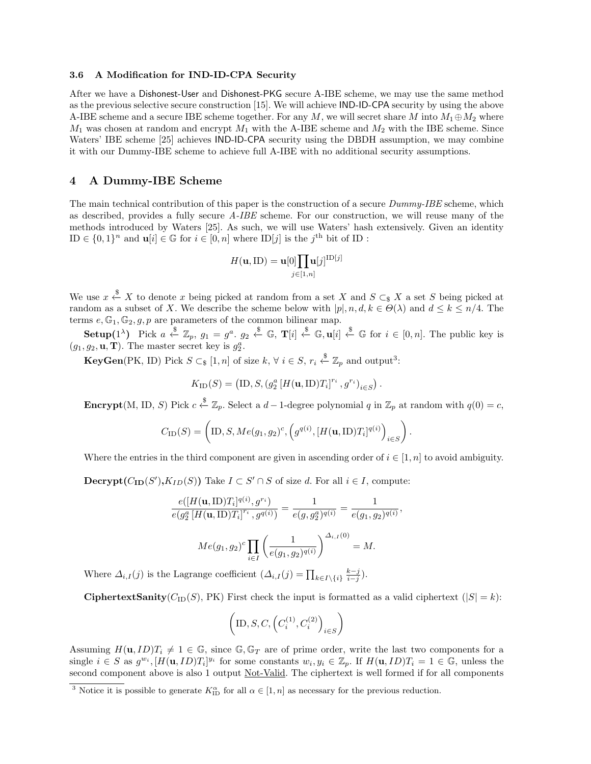#### 3.6 A Modification for IND-ID-CPA Security

After we have a Dishonest-User and Dishonest-PKG secure A-IBE scheme, we may use the same method as the previous selective secure construction [15]. We will achieve IND-ID-CPA security by using the above A-IBE scheme and a secure IBE scheme together. For any M, we will secret share M into  $M_1 \oplus M_2$  where  $M_1$  was chosen at random and encrypt  $M_1$  with the A-IBE scheme and  $M_2$  with the IBE scheme. Since Waters' IBE scheme [25] achieves IND-ID-CPA security using the DBDH assumption, we may combine it with our Dummy-IBE scheme to achieve full A-IBE with no additional security assumptions.

## 4 A Dummy-IBE Scheme

The main technical contribution of this paper is the construction of a secure *Dummy-IBE* scheme, which as described, provides a fully secure A-IBE scheme. For our construction, we will reuse many of the methods introduced by Waters [25]. As such, we will use Waters' hash extensively. Given an identity ID  $\in \{0,1\}^n$  and  $\mathbf{u}[i] \in \mathbb{G}$  for  $i \in [0,n]$  where ID[j] is the j<sup>th</sup> bit of ID :

$$
H(\mathbf{u},\text{ID})=\mathbf{u}[0]\prod_{j\in[1,n]}\hspace{-0.5ex}\mathbf{u}[j]^{\text{ID}[j]}
$$

We use  $x \stackrel{\$}{\leftarrow} X$  to denote x being picked at random from a set X and  $S \subset_{\$} X$  a set S being picked at random as a subset of X. We describe the scheme below with  $|p|, n, d, k \in \Theta(\lambda)$  and  $d \leq k \leq n/4$ . The terms  $e, \mathbb{G}_1, \mathbb{G}_2, g, p$  are parameters of the common bilinear map.

Setup(1<sup>\2</sup>) Pick  $a \stackrel{\$}{\leftarrow} \mathbb{Z}_p$ ,  $g_1 = g^a$ .  $g_2 \stackrel{\$}{\leftarrow} \mathbb{G}$ ,  $\mathbf{T}[i] \stackrel{\$}{\leftarrow} \mathbb{G}$ ,  $\mathbf{u}[i] \stackrel{\$}{\leftarrow} \mathbb{G}$  for  $i \in [0, n]$ . The public key is  $(g_1, g_2, \mathbf{u}, \mathbf{T})$ . The master secret key is  $g_2^a$ .

**KeyGen**(PK, ID) Pick  $S \subset_{\S} [1, n]$  of size  $k, \forall i \in S$ ,  $r_i \stackrel{\$}{\leftarrow} \mathbb{Z}_p$  and output<sup>3</sup>:

$$
K_{\text{ID}}(S) = (\text{ID}, S, (g_2^a [H(\mathbf{u}, \text{ID})T_i]^{r_i}, g^{r_i})_{i \in S}).
$$

**Encrypt**(M, ID, S) Pick  $c \stackrel{\$}{\leftarrow} \mathbb{Z}_p$ . Select a  $d-1$ -degree polynomial q in  $\mathbb{Z}_p$  at random with  $q(0) = c$ ,

$$
C_{\text{ID}}(S) = \left( \text{ID}, S, Me(g_1, g_2)^c, \left( g^{q(i)}, [H(\mathbf{u}, \text{ID})T_i]^{q(i)} \right)_{i \in S} \right).
$$

Where the entries in the third component are given in ascending order of  $i \in [1, n]$  to avoid ambiguity.

**Decrypt**( $C_{ID}(S')$ , $K_{ID}(S)$ ) Take  $I \subset S' \cap S$  of size d. For all  $i \in I$ , compute:

$$
\frac{e([H(\mathbf{u},\text{ID})T_i]^{q(i)}, g^{r_i})}{e(g_2^a[H(\mathbf{u},\text{ID})T_i]^{r_i}, g^{q(i)})} = \frac{1}{e(g, g_2^a)^{q(i)}} = \frac{1}{e(g_1, g_2)^{q(i)}},
$$

$$
Me(g_1, g_2)^c \prod_{i \in I} \left(\frac{1}{e(g_1, g_2)^{q(i)}}\right)^{\Delta_{i,I}(0)} = M.
$$

Where  $\Delta_{i,I}(j)$  is the Lagrange coefficient  $(\Delta_{i,I}(j) = \prod_{k \in I \setminus \{i\}} \frac{k-j}{i-j}).$ 

**CiphertextSanity**( $C_{\text{ID}}(S)$ , PK) First check the input is formatted as a valid ciphertext ( $|S| = k$ ):

$$
\left(\text{ID}, S, C, \left(C_i^{(1)}, C_i^{(2)}\right)_{i \in S}\right)
$$

Assuming  $H(\mathbf{u}, ID)T_i \neq 1 \in \mathbb{G}$ , since  $\mathbb{G}, \mathbb{G}_T$  are of prime order, write the last two components for a single  $i \in S$  as  $g^{w_i}$ ,  $[H(\mathbf{u},ID)T_i]^{y_i}$  for some constants  $w_i, y_i \in \mathbb{Z}_p$ . If  $H(\mathbf{u},ID)T_i = 1 \in \mathbb{G}$ , unless the second component above is also 1 output Not-Valid. The ciphertext is well formed if for all components

<sup>&</sup>lt;sup>3</sup> Notice it is possible to generate  $K_{\text{ID}}^{\alpha}$  for all  $\alpha \in [1, n]$  as necessary for the previous reduction.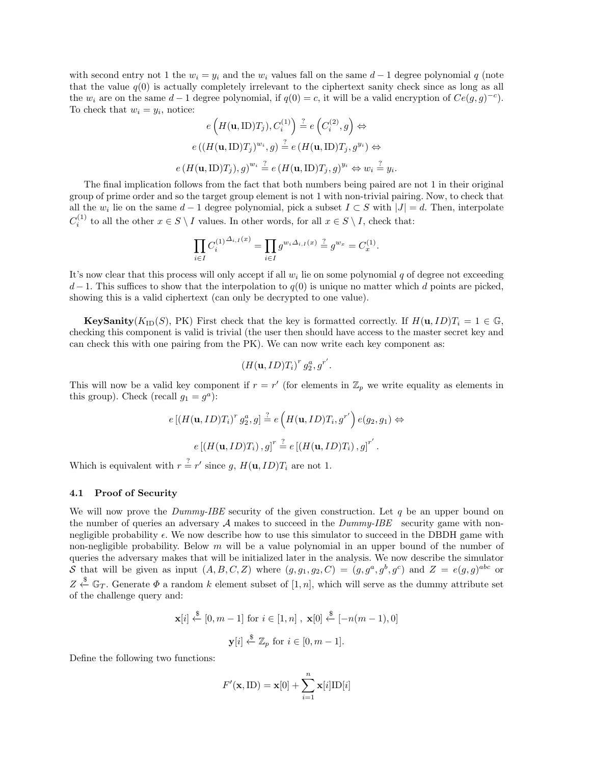with second entry not 1 the  $w_i = y_i$  and the  $w_i$  values fall on the same  $d-1$  degree polynomial q (note that the value  $q(0)$  is actually completely irrelevant to the ciphertext sanity check since as long as all the  $w_i$  are on the same  $d-1$  degree polynomial, if  $q(0) = c$ , it will be a valid encryption of  $Ce(g, g)^{-c}$ . To check that  $w_i = y_i$ , notice:

$$
e\left(H(\mathbf{u},\mathrm{ID})T_j),C_i^{(1)}\right) \stackrel{?}{=} e\left(C_i^{(2)},g\right) \Leftrightarrow
$$

$$
e\left((H(\mathbf{u},\mathrm{ID})T_j)^{w_i},g\right) \stackrel{?}{=} e\left(H(\mathbf{u},\mathrm{ID})T_j,g^{y_i}\right) \Leftrightarrow
$$

$$
e\left(H(\mathbf{u},\mathrm{ID})T_j),g\right)^{w_i} \stackrel{?}{=} e\left(H(\mathbf{u},\mathrm{ID})T_j,g\right)^{y_i} \Leftrightarrow w_i \stackrel{?}{=} y_i.
$$

The final implication follows from the fact that both numbers being paired are not 1 in their original group of prime order and so the target group element is not 1 with non-trivial pairing. Now, to check that all the  $w_i$  lie on the same  $d-1$  degree polynomial, pick a subset  $I \subset S$  with  $|J| = d$ . Then, interpolate  $C_i^{(1)}$  to all the other  $x \in S \setminus I$  values. In other words, for all  $x \in S \setminus I$ , check that:

$$
\prod_{i \in I} C_i^{(1)} \xrightarrow{\Delta_{i,I}(x)} = \prod_{i \in I} g^{w_i \Delta_{i,I}(x)} \stackrel{?}{=} g^{w_x} = C_x^{(1)}.
$$

It's now clear that this process will only accept if all  $w_i$  lie on some polynomial  $q$  of degree not exceeding  $d-1$ . This suffices to show that the interpolation to  $q(0)$  is unique no matter which d points are picked, showing this is a valid ciphertext (can only be decrypted to one value).

**KeySanity**( $K_{\text{ID}}(S)$ , PK) First check that the key is formatted correctly. If  $H(\mathbf{u}, ID)T_i = 1 \in \mathbb{G}$ , checking this component is valid is trivial (the user then should have access to the master secret key and can check this with one pairing from the PK). We can now write each key component as:

$$
\left(H(\mathbf{u},ID)T_i\right)^r g_2^a, g^{r'}.
$$

This will now be a valid key component if  $r = r'$  (for elements in  $\mathbb{Z}_p$  we write equality as elements in this group). Check (recall  $g_1 = g^a$ ):

$$
e [(H(\mathbf{u}, ID)T_i)^r g_2^a, g] \stackrel{?}{=} e \left( H(\mathbf{u}, ID)T_i, g^{r'} \right) e(g_2, g_1) \Leftrightarrow
$$
  

$$
e [(H(\mathbf{u}, ID)T_i), g]^r \stackrel{?}{=} e [(H(\mathbf{u}, ID)T_i), g]^{r'}.
$$

Which is equivalent with  $r = r'$  since g,  $H(\mathbf{u}, ID)T_i$  are not 1.

#### 4.1 Proof of Security

We will now prove the  $Dummy-IBE$  security of the given construction. Let q be an upper bound on the number of queries an adversary  $A$  makes to succeed in the  $Dummy-IBE$  security game with nonnegligible probability  $\epsilon$ . We now describe how to use this simulator to succeed in the DBDH game with non-negligible probability. Below  $m$  will be a value polynomial in an upper bound of the number of queries the adversary makes that will be initialized later in the analysis. We now describe the simulator S that will be given as input  $(A, B, C, Z)$  where  $(g, g_1, g_2, C) = (g, g^a, g^b, g^c)$  and  $Z = e(g, g)^{abc}$  or  $Z \stackrel{\$}{\leftarrow} \mathbb{G}_T$ . Generate  $\Phi$  a random k element subset of  $[1, n]$ , which will serve as the dummy attribute set of the challenge query and:

$$
\mathbf{x}[i] \stackrel{\$}{\leftarrow} [0, m-1] \text{ for } i \in [1, n], \mathbf{x}[0] \stackrel{\$}{\leftarrow} [-n(m-1), 0]
$$

$$
\mathbf{y}[i] \stackrel{\$}{\leftarrow} \mathbb{Z}_p \text{ for } i \in [0, m-1].
$$

Define the following two functions:

$$
F'(\mathbf{x},\text{ID}) = \mathbf{x}[0] + \sum_{i=1}^{n} \mathbf{x}[i]\text{ID}[i]
$$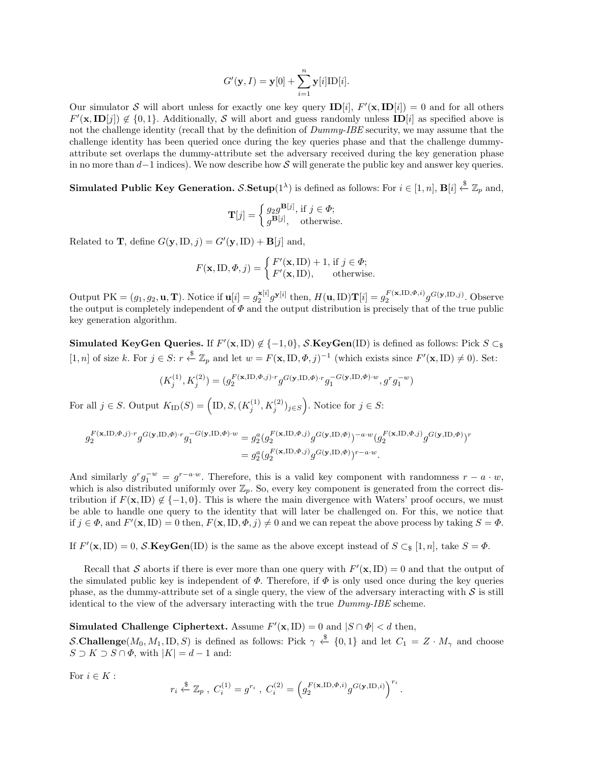$$
G'(\mathbf{y}, I) = \mathbf{y}[0] + \sum_{i=1}^{n} \mathbf{y}[i] \text{ID}[i].
$$

Our simulator S will abort unless for exactly one key query  $\mathbf{ID}[i], F'(\mathbf{x}, \mathbf{ID}[i]) = 0$  and for all others  $F'(\mathbf{x},\mathbf{ID}[j]) \notin \{0,1\}$ . Additionally, S will abort and guess randomly unless  $\mathbf{ID}[i]$  as specified above is not the challenge identity (recall that by the definition of  $Dummu$ -IBE security, we may assume that the challenge identity has been queried once during the key queries phase and that the challenge dummyattribute set overlaps the dummy-attribute set the adversary received during the key generation phase in no more than  $d-1$  indices). We now describe how S will generate the public key and answer key queries.

Simulated Public Key Generation. S.Setup(1<sup> $\lambda$ </sup>) is defined as follows: For  $i\in[1,n],$   $\mathbf{B}[i]\overset{\$}{\leftarrow}\mathbb{Z}_{p}$  and,

$$
\mathbf{T}[j] = \begin{cases} g_2 g^{\mathbf{B}[j]}, \text{ if } j \in \Phi; \\ g^{\mathbf{B}[j]}, \quad \text{otherwise.} \end{cases}
$$

Related to **T**, define  $G(y, \text{ID}, j) = G'(y, \text{ID}) + \mathbf{B}[j]$  and,

$$
F(\mathbf{x}, \text{ID}, \varPhi, j) = \begin{cases} F'(\mathbf{x}, \text{ID}) + 1, \text{ if } j \in \varPhi; \\ F'(\mathbf{x}, \text{ID}), \qquad \text{otherwise.} \end{cases}
$$

Output PK =  $(g_1, g_2, \mathbf{u}, \mathbf{T})$ . Notice if  $\mathbf{u}[i] = g_2^{\mathbf{x}[i]} g^{\mathbf{y}[i]}$  then,  $H(\mathbf{u}, \text{ID}) \mathbf{T}[i] = g_2^{F(\mathbf{x}, \text{ID}, \Phi, i)} g^{G(\mathbf{y}, \text{ID}, j)}$ . Observe the output is completely independent of  $\Phi$  and the output distribution is precisely that of the true public key generation algorithm.

Simulated KeyGen Queries. If  $F'(\mathbf{x}, \text{ID}) \notin \{-1, 0\}$ ,  $\mathcal{S}.\text{KeyGen}(\text{ID})$  is defined as follows: Pick  $S \subset_{\$}$ [1, n] of size k. For  $j \in S: r \stackrel{\$}{\leftarrow} \mathbb{Z}_p$  and let  $w = F(\mathbf{x}, \text{ID}, \Phi, j)^{-1}$  (which exists since  $F'(\mathbf{x}, \text{ID}) \neq 0$ ). Set:

$$
(K_j^{(1)},K_j^{(2)})=(g_2^{F(\mathbf{x},\mathrm{ID},\varPhi,j)\cdot r}g^{G(\mathbf{y},\mathrm{ID},\varPhi)\cdot r}g_1^{-G(\mathbf{y},\mathrm{ID},\varPhi)\cdot w},g^rg_1^{-w})
$$

For all  $j \in S$ . Output  $K_{\text{ID}}(S) = (ID, S, (K_j^{(1)}, K_j^{(2)})_{j \in S})$ . Notice for  $j \in S$ :

$$
\begin{split} g_2^{F(\mathbf{x},\text{ID},\varPhi,j)\cdot r} g^{G(\mathbf{y},\text{ID},\varPhi)\cdot r} g_1^{-G(\mathbf{y},\text{ID},\varPhi)\cdot w} &= g_2^a \big(g_2^{F(\mathbf{x},\text{ID},\varPhi,j)} g^{G(\mathbf{y},\text{ID},\varPhi)}\big)^{-a\cdot w} \big(g_2^{F(\mathbf{x},\text{ID},\varPhi,j)} g^{G(\mathbf{y},\text{ID},\varPhi)}\big)^r \\ &= g_2^a \big(g_2^{F(\mathbf{x},\text{ID},\varPhi,j)} g^{G(\mathbf{y},\text{ID},\varPhi)}\big)^{r-a\cdot w}. \end{split}
$$

And similarly  $g^r g_1^{-w} = g^{r-a\cdot w}$ . Therefore, this is a valid key component with randomness  $r - a \cdot w$ , which is also distributed uniformly over  $\mathbb{Z}_p$ . So, every key component is generated from the correct distribution if  $F(\mathbf{x},\text{ID}) \notin \{-1,0\}$ . This is where the main divergence with Waters' proof occurs, we must be able to handle one query to the identity that will later be challenged on. For this, we notice that if  $j \in \Phi$ , and  $F'(\mathbf{x}, \mathbf{ID}) = 0$  then,  $F(\mathbf{x}, \mathbf{ID}, \Phi, j) \neq 0$  and we can repeat the above process by taking  $S = \Phi$ .

If  $F'(\mathbf{x}, \text{ID}) = 0$ , S.KeyGen(ID) is the same as the above except instead of  $S \subset_{\$} [1, n]$ , take  $S = \Phi$ .

Recall that S aborts if there is ever more than one query with  $F'(\mathbf{x}, \text{ID}) = 0$  and that the output of the simulated public key is independent of  $\Phi$ . Therefore, if  $\Phi$  is only used once during the key queries phase, as the dummy-attribute set of a single query, the view of the adversary interacting with  $S$  is still identical to the view of the adversary interacting with the true Dummy-IBE scheme.

Simulated Challenge Ciphertext. Assume  $F'(\mathbf{x}, \text{ID}) = 0$  and  $|S \cap \Phi| < d$  then,

S. Challenge $(M_0, M_1, ID, S)$  is defined as follows: Pick  $\gamma \stackrel{\$}{\leftarrow} \{0,1\}$  and let  $C_1 = Z \cdot M_{\gamma}$  and choose  $S \supset K \supset S \cap \Phi$ , with  $|K| = d - 1$  and:

For  $i \in K$ :

$$
r_i \stackrel{\$}{\leftarrow} \mathbb{Z}_p
$$
,  $C_i^{(1)} = g^{r_i}$ ,  $C_i^{(2)} = \left( g_2^{F(\mathbf{x}, \text{ID}, \phi, i)} g^{G(\mathbf{y}, \text{ID}, i)} \right)^{r_i}$ .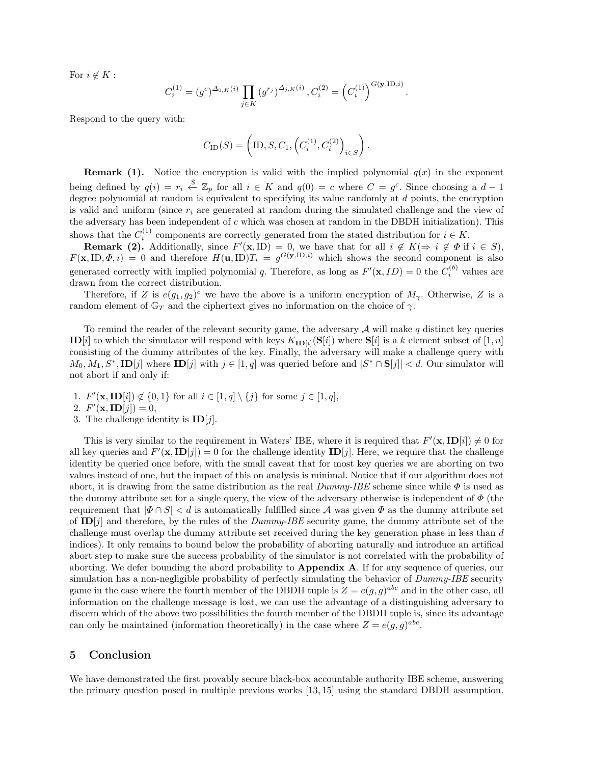For  $i \notin K$ :

$$
C_i^{(1)} = (g^c)^{\Delta_{0,K}(i)} \prod_{j \in K} (g^{r_j})^{\Delta_{j,K}(i)}, C_i^{(2)} = (C_i^{(1)})^{G(\mathbf{y}, \text{ID}, i)}
$$

.

Respond to the query with:

$$
C_{\text{ID}}(S) = \left( \text{ID}, S, C_1, \left( C_i^{(1)}, C_i^{(2)} \right)_{i \in S} \right).
$$

**Remark (1).** Notice the encryption is valid with the implied polynomial  $q(x)$  in the exponent being defined by  $q(i) = r_i \stackrel{\$}{\leftarrow} \mathbb{Z}_p$  for all  $i \in K$  and  $q(0) = c$  where  $C = g^c$ . Since choosing a  $d-1$ degree polynomial at random is equivalent to specifying its value randomly at  $d$  points, the encryption is valid and uniform (since  $r_i$  are generated at random during the simulated challenge and the view of the adversary has been independent of c which was chosen at random in the DBDH initialization). This shows that the  $C_i^{(1)}$  components are correctly generated from the stated distribution for  $i \in K$ .

**Remark (2).** Additionally, since  $F'(\mathbf{x}, \text{ID}) = 0$ , we have that for all  $i \notin K(\Rightarrow i \notin \Phi \text{ if } i \in S)$ ,  $F(\mathbf{x}, \text{ID}, \Phi, i) = 0$  and therefore  $H(\mathbf{u}, \text{ID})T_i = g^{G(\mathbf{y}, \text{ID}, i)}$  which shows the second component is also generated correctly with implied polynomial q. Therefore, as long as  $F'(\mathbf{x},ID) = 0$  the  $C_i^{(b)}$  values are drawn from the correct distribution.

Therefore, if Z is  $e(g_1, g_2)^c$  we have the above is a uniform encryption of  $M_\gamma$ . Otherwise, Z is a random element of  $\mathbb{G}_T$  and the ciphertext gives no information on the choice of  $\gamma$ .

To remind the reader of the relevant security game, the adversary  $A$  will make  $q$  distinct key queries  $\mathbf{ID}[i]$  to which the simulator will respond with keys  $K_{\mathbf{ID}[i]}(S[i])$  where  $S[i]$  is a k element subset of  $[1, n]$ consisting of the dummy attributes of the key. Finally, the adversary will make a challenge query with  $M_0, M_1, S^*, \mathbf{ID}[j]$  where  $\mathbf{ID}[j]$  with  $j \in [1, q]$  was queried before and  $|S^* \cap \mathbf{S}[j]| < d$ . Our simulator will not abort if and only if:

- 1.  $F'(\mathbf{x},\mathbf{ID}[i]) \notin \{0,1\}$  for all  $i \in [1,q] \setminus \{j\}$  for some  $j \in [1,q]$ ,
- 2.  $F'(\mathbf{x},\mathbf{ID}[j]) = 0,$
- 3. The challenge identity is  $ID[j]$ .

This is very similar to the requirement in Waters' IBE, where it is required that  $F'(\mathbf{x},\mathbf{ID}[i]) \neq 0$  for all key queries and  $F'(\mathbf{x},\mathbf{ID}[j]) = 0$  for the challenge identity  $\mathbf{ID}[j]$ . Here, we require that the challenge identity be queried once before, with the small caveat that for most key queries we are aborting on two values instead of one, but the impact of this on analysis is minimal. Notice that if our algorithm does not abort, it is drawing from the same distribution as the real  $Dummy-IBE$  scheme since while  $\Phi$  is used as the dummy attribute set for a single query, the view of the adversary otherwise is independent of  $\Phi$  (the requirement that  $|\Phi \cap S| < d$  is automatically fulfilled since A was given  $\Phi$  as the dummy attribute set of  $\text{ID}[j]$  and therefore, by the rules of the *Dummy-IBE* security game, the dummy attribute set of the challenge must overlap the dummy attribute set received during the key generation phase in less than d indices). It only remains to bound below the probability of aborting naturally and introduce an artifical abort step to make sure the success probability of the simulator is not correlated with the probability of aborting. We defer bounding the abord probability to Appendix A. If for any sequence of queries, our simulation has a non-negligible probability of perfectly simulating the behavior of Dummy-IBE security game in the case where the fourth member of the DBDH tuple is  $Z = e(g, g)^{abc}$  and in the other case, all information on the challenge message is lost, we can use the advantage of a distinguishing adversary to discern which of the above two possibilities the fourth member of the DBDH tuple is, since its advantage can only be maintained (information theoretically) in the case where  $Z = e(g, g)^{abc}$ .

## 5 Conclusion

We have demonstrated the first provably secure black-box accountable authority IBE scheme, answering the primary question posed in multiple previous works [13, 15] using the standard DBDH assumption.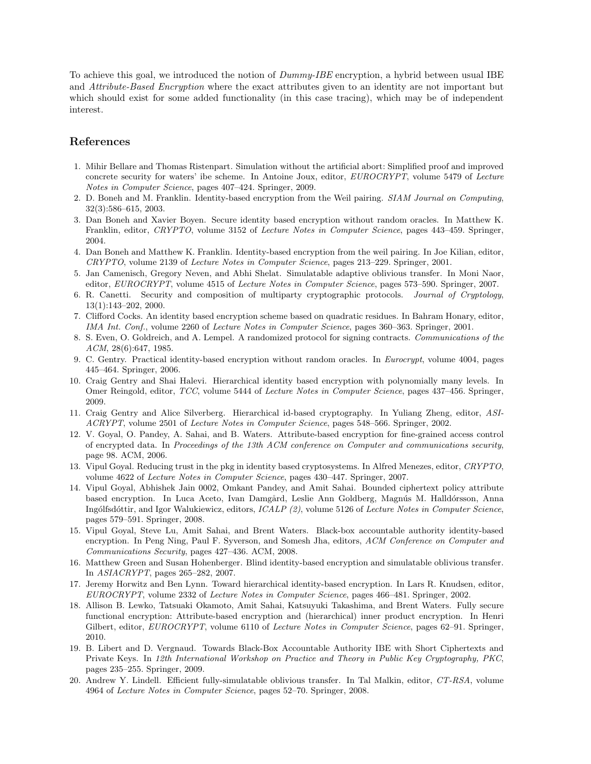To achieve this goal, we introduced the notion of *Dummy-IBE* encryption, a hybrid between usual IBE and Attribute-Based Encryption where the exact attributes given to an identity are not important but which should exist for some added functionality (in this case tracing), which may be of independent interest.

## References

- 1. Mihir Bellare and Thomas Ristenpart. Simulation without the artificial abort: Simplified proof and improved concrete security for waters' ibe scheme. In Antoine Joux, editor, EUROCRYPT, volume 5479 of Lecture Notes in Computer Science, pages 407–424. Springer, 2009.
- 2. D. Boneh and M. Franklin. Identity-based encryption from the Weil pairing. SIAM Journal on Computing, 32(3):586–615, 2003.
- 3. Dan Boneh and Xavier Boyen. Secure identity based encryption without random oracles. In Matthew K. Franklin, editor, CRYPTO, volume 3152 of Lecture Notes in Computer Science, pages 443–459. Springer, 2004.
- 4. Dan Boneh and Matthew K. Franklin. Identity-based encryption from the weil pairing. In Joe Kilian, editor, CRYPTO, volume 2139 of Lecture Notes in Computer Science, pages 213–229. Springer, 2001.
- 5. Jan Camenisch, Gregory Neven, and Abhi Shelat. Simulatable adaptive oblivious transfer. In Moni Naor, editor, EUROCRYPT, volume 4515 of Lecture Notes in Computer Science, pages 573–590. Springer, 2007.
- 6. R. Canetti. Security and composition of multiparty cryptographic protocols. Journal of Cryptology, 13(1):143–202, 2000.
- 7. Clifford Cocks. An identity based encryption scheme based on quadratic residues. In Bahram Honary, editor, IMA Int. Conf., volume 2260 of Lecture Notes in Computer Science, pages 360–363. Springer, 2001.
- 8. S. Even, O. Goldreich, and A. Lempel. A randomized protocol for signing contracts. Communications of the ACM, 28(6):647, 1985.
- 9. C. Gentry. Practical identity-based encryption without random oracles. In Eurocrypt, volume 4004, pages 445–464. Springer, 2006.
- 10. Craig Gentry and Shai Halevi. Hierarchical identity based encryption with polynomially many levels. In Omer Reingold, editor, TCC, volume 5444 of Lecture Notes in Computer Science, pages 437–456. Springer, 2009.
- 11. Craig Gentry and Alice Silverberg. Hierarchical id-based cryptography. In Yuliang Zheng, editor, ASI-ACRYPT, volume 2501 of Lecture Notes in Computer Science, pages 548–566. Springer, 2002.
- 12. V. Goyal, O. Pandey, A. Sahai, and B. Waters. Attribute-based encryption for fine-grained access control of encrypted data. In Proceedings of the 13th ACM conference on Computer and communications security, page 98. ACM, 2006.
- 13. Vipul Goyal. Reducing trust in the pkg in identity based cryptosystems. In Alfred Menezes, editor, CRYPTO, volume 4622 of Lecture Notes in Computer Science, pages 430–447. Springer, 2007.
- 14. Vipul Goyal, Abhishek Jain 0002, Omkant Pandey, and Amit Sahai. Bounded ciphertext policy attribute based encryption. In Luca Aceto, Ivan Damgård, Leslie Ann Goldberg, Magnús M. Halldórsson, Anna Ingólfsdóttir, and Igor Walukiewicz, editors, ICALP (2), volume 5126 of Lecture Notes in Computer Science, pages 579–591. Springer, 2008.
- 15. Vipul Goyal, Steve Lu, Amit Sahai, and Brent Waters. Black-box accountable authority identity-based encryption. In Peng Ning, Paul F. Syverson, and Somesh Jha, editors, ACM Conference on Computer and Communications Security, pages 427–436. ACM, 2008.
- 16. Matthew Green and Susan Hohenberger. Blind identity-based encryption and simulatable oblivious transfer. In ASIACRYPT, pages 265–282, 2007.
- 17. Jeremy Horwitz and Ben Lynn. Toward hierarchical identity-based encryption. In Lars R. Knudsen, editor, EUROCRYPT, volume 2332 of Lecture Notes in Computer Science, pages 466–481. Springer, 2002.
- 18. Allison B. Lewko, Tatsuaki Okamoto, Amit Sahai, Katsuyuki Takashima, and Brent Waters. Fully secure functional encryption: Attribute-based encryption and (hierarchical) inner product encryption. In Henri Gilbert, editor, EUROCRYPT, volume 6110 of Lecture Notes in Computer Science, pages 62–91. Springer, 2010.
- 19. B. Libert and D. Vergnaud. Towards Black-Box Accountable Authority IBE with Short Ciphertexts and Private Keys. In 12th International Workshop on Practice and Theory in Public Key Cryptography, PKC, pages 235–255. Springer, 2009.
- 20. Andrew Y. Lindell. Efficient fully-simulatable oblivious transfer. In Tal Malkin, editor, CT-RSA, volume 4964 of Lecture Notes in Computer Science, pages 52–70. Springer, 2008.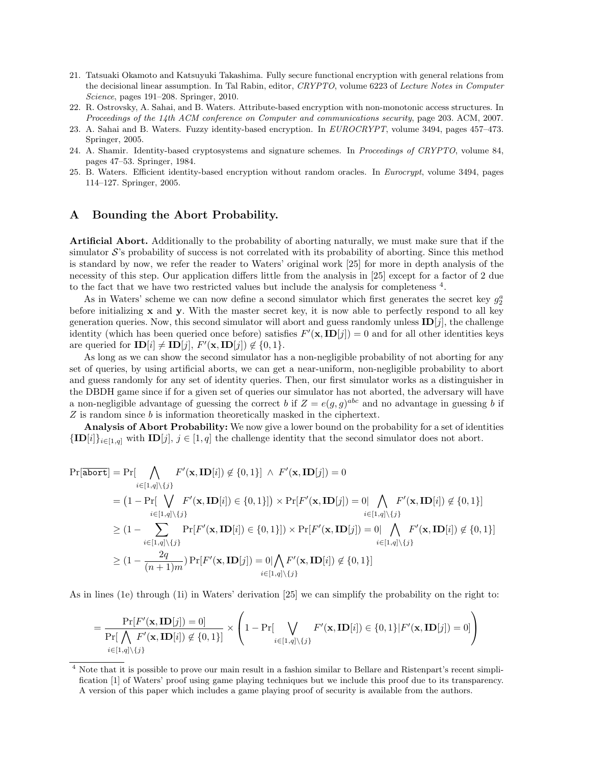- 21. Tatsuaki Okamoto and Katsuyuki Takashima. Fully secure functional encryption with general relations from the decisional linear assumption. In Tal Rabin, editor, CRYPTO, volume 6223 of Lecture Notes in Computer Science, pages 191–208. Springer, 2010.
- 22. R. Ostrovsky, A. Sahai, and B. Waters. Attribute-based encryption with non-monotonic access structures. In Proceedings of the 14th ACM conference on Computer and communications security, page 203. ACM, 2007.
- 23. A. Sahai and B. Waters. Fuzzy identity-based encryption. In EUROCRYPT, volume 3494, pages 457–473. Springer, 2005.
- 24. A. Shamir. Identity-based cryptosystems and signature schemes. In Proceedings of CRYPTO, volume 84, pages 47–53. Springer, 1984.
- 25. B. Waters. Efficient identity-based encryption without random oracles. In Eurocrypt, volume 3494, pages 114–127. Springer, 2005.

## A Bounding the Abort Probability.

Artificial Abort. Additionally to the probability of aborting naturally, we must make sure that if the simulator  $\mathcal{S}$ 's probability of success is not correlated with its probability of aborting. Since this method is standard by now, we refer the reader to Waters' original work [25] for more in depth analysis of the necessity of this step. Our application differs little from the analysis in [25] except for a factor of 2 due to the fact that we have two restricted values but include the analysis for completeness<sup>4</sup>.

As in Waters' scheme we can now define a second simulator which first generates the secret key  $g_2^a$ before initializing x and y. With the master secret key, it is now able to perfectly respond to all key generation queries. Now, this second simulator will abort and guess randomly unless  $\text{ID}[j]$ , the challenge identity (which has been queried once before) satisfies  $F'(\mathbf{x},\mathbf{ID}[j]) = 0$  and for all other identities keys are queried for  $\mathbf{ID}[i] \neq \mathbf{ID}[j], F'(\mathbf{x}, \mathbf{ID}[j]) \notin \{0, 1\}.$ 

As long as we can show the second simulator has a non-negligible probability of not aborting for any set of queries, by using artificial aborts, we can get a near-uniform, non-negligible probability to abort and guess randomly for any set of identity queries. Then, our first simulator works as a distinguisher in the DBDH game since if for a given set of queries our simulator has not aborted, the adversary will have a non-negligible advantage of guessing the correct b if  $Z = e(g, g)^{abc}$  and no advantage in guessing b if Z is random since b is information theoretically masked in the ciphertext.

Analysis of Abort Probability: We now give a lower bound on the probability for a set of identities  ${\{\mathbf{ID}[i]\}_{i\in[1,q]}$  with  ${\mathbf{ID}[j]}$ ,  $j\in[1,q]$  the challenge identity that the second simulator does not abort.

$$
\Pr[\mathbf{abort}] = \Pr[\bigwedge_{i \in [1,q] \setminus \{j\}} F'(\mathbf{x}, \mathbf{ID}[i]) \notin \{0,1\}] \land F'(\mathbf{x}, \mathbf{ID}[j]) = 0
$$
\n
$$
= (1 - \Pr[\bigvee_{i \in [1,q] \setminus \{j\}} F'(\mathbf{x}, \mathbf{ID}[i]) \in \{0,1\}] ) \times \Pr[F'(\mathbf{x}, \mathbf{ID}[j]) = 0 | \bigwedge_{i \in [1,q] \setminus \{j\}} F'(\mathbf{x}, \mathbf{ID}[i]) \notin \{0,1\}]
$$
\n
$$
\geq (1 - \sum_{i \in [1,q] \setminus \{j\}} \Pr[F'(\mathbf{x}, \mathbf{ID}[i]) \in \{0,1\}] ) \times \Pr[F'(\mathbf{x}, \mathbf{ID}[j]) = 0 | \bigwedge_{i \in [1,q] \setminus \{j\}} F'(\mathbf{x}, \mathbf{ID}[i]) \notin \{0,1\}]
$$
\n
$$
\geq (1 - \frac{2q}{(n+1)m}) \Pr[F'(\mathbf{x}, \mathbf{ID}[j]) = 0 | \bigwedge_{i \in [1,q] \setminus \{j\}} F'(\mathbf{x}, \mathbf{ID}[i]) \notin \{0,1\}]
$$

As in lines (1e) through (1i) in Waters' derivation [25] we can simplify the probability on the right to:

$$
= \frac{\Pr[F'(\mathbf{x}, \mathbf{ID}[j]) = 0]}{\Pr[\bigwedge_{i \in [1,q] \setminus \{j\}} F'(\mathbf{x}, \mathbf{ID}[i]) \notin \{0,1\}] } \times \left(1 - \Pr[\bigvee_{i \in [1,q] \setminus \{j\}} F'(\mathbf{x}, \mathbf{ID}[i]) \in \{0,1\} | F'(\mathbf{x}, \mathbf{ID}[j]) = 0]\right)
$$

Note that it is possible to prove our main result in a fashion similar to Bellare and Ristenpart's recent simplification [1] of Waters' proof using game playing techniques but we include this proof due to its transparency. A version of this paper which includes a game playing proof of security is available from the authors.